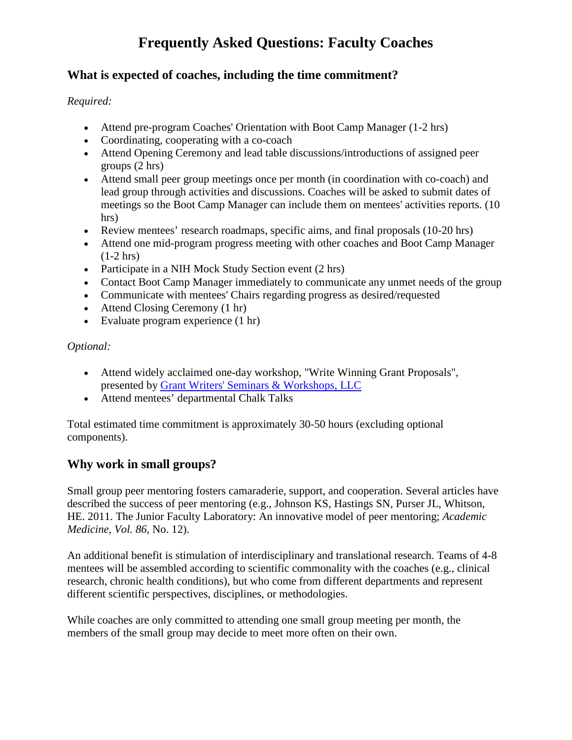## **What is expected of coaches, including the time commitment?**

#### *Required:*

- Attend pre-program Coaches' Orientation with Boot Camp Manager (1-2 hrs)
- Coordinating, cooperating with a co-coach
- Attend Opening Ceremony and lead table discussions/introductions of assigned peer groups (2 hrs)
- Attend small peer group meetings once per month (in coordination with co-coach) and lead group through activities and discussions. Coaches will be asked to submit dates of meetings so the Boot Camp Manager can include them on mentees' activities reports. (10 hrs)
- Review mentees' research roadmaps, specific aims, and final proposals (10-20 hrs)
- Attend one mid-program progress meeting with other coaches and Boot Camp Manager (1-2 hrs)
- Participate in a NIH Mock Study Section event (2 hrs)
- Contact Boot Camp Manager immediately to communicate any unmet needs of the group
- Communicate with mentees' Chairs regarding progress as desired/requested
- Attend Closing Ceremony (1 hr)
- Evaluate program experience  $(1 \text{ hr})$

#### *Optional:*

- Attend widely acclaimed one-day workshop, ["Write Winning Grant Proposals"](http://www.grantcentral.com/workbook_nih_sf424_shortened.html), presented by [Grant Writers' Seminars](http://www.grantcentral.com/) & Workshops, LLC
- Attend mentees' departmental Chalk Talks

Total estimated time commitment is approximately 30-50 hours (excluding optional components).

## **Why work in small groups?**

Small group peer mentoring fosters camaraderie, support, and cooperation. Several articles have described the success of peer mentoring (e.g., Johnson KS, Hastings SN, Purser JL, Whitson, HE. 2011. The Junior Faculty Laboratory: An innovative model of peer mentoring; *Academic Medicine, Vol. 86*, No. 12).

An additional benefit is stimulation of interdisciplinary and translational research. Teams of 4-8 mentees will be assembled according to scientific commonality with the coaches (e.g., clinical research, chronic health conditions), but who come from different departments and represent different scientific perspectives, disciplines, or methodologies.

While coaches are only committed to attending one small group meeting per month, the members of the small group may decide to meet more often on their own.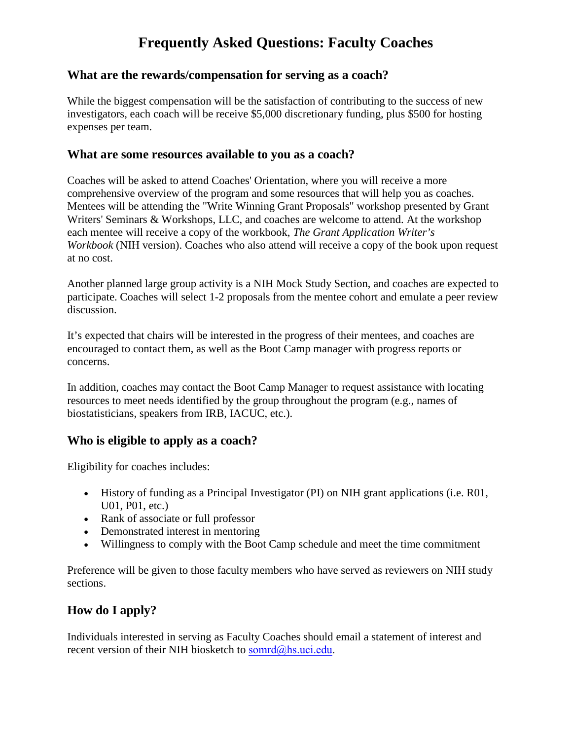#### **What are the rewards/compensation for serving as a coach?**

While the biggest compensation will be the satisfaction of contributing to the success of new investigators, each coach will be receive \$5,000 discretionary funding, plus \$500 for hosting expenses per team.

#### **What are some resources available to you as a coach?**

Coaches will be asked to attend Coaches' Orientation, where you will receive a more comprehensive overview of the program and some resources that will help you as coaches. Mentees will be attending the "Write Winning Grant Proposals" workshop presented by Grant Writers' Seminars & Workshops, LLC, and coaches are welcome to attend. At the workshop each mentee will receive a copy of the workbook, *The Grant Application Writer's Workbook* (NIH version). Coaches who also attend will receive a copy of the book upon request at no cost.

Another planned large group activity is a NIH Mock Study Section, and coaches are expected to participate. Coaches will select 1-2 proposals from the mentee cohort and emulate a peer review discussion.

It's expected that chairs will be interested in the progress of their mentees, and coaches are encouraged to contact them, as well as the Boot Camp manager with progress reports or concerns.

In addition, coaches may contact the Boot Camp Manager to request assistance with locating resources to meet needs identified by the group throughout the program (e.g., names of biostatisticians, speakers from IRB, IACUC, etc.).

## **Who is eligible to apply as a coach?**

Eligibility for coaches includes:

- History of funding as a Principal Investigator (PI) on NIH grant applications (i.e. R01, U01, P01, etc.)
- Rank of associate or full professor
- Demonstrated interest in mentoring
- Willingness to comply with the Boot Camp schedule and meet the time commitment

Preference will be given to those faculty members who have served as reviewers on NIH study sections.

## **How do I apply?**

Individuals interested in serving as Faculty Coaches should email a statement of interest and recent version of their NIH biosketch to [somrd@hs.uci.edu.](mailto:somrd@hs.uci.edu)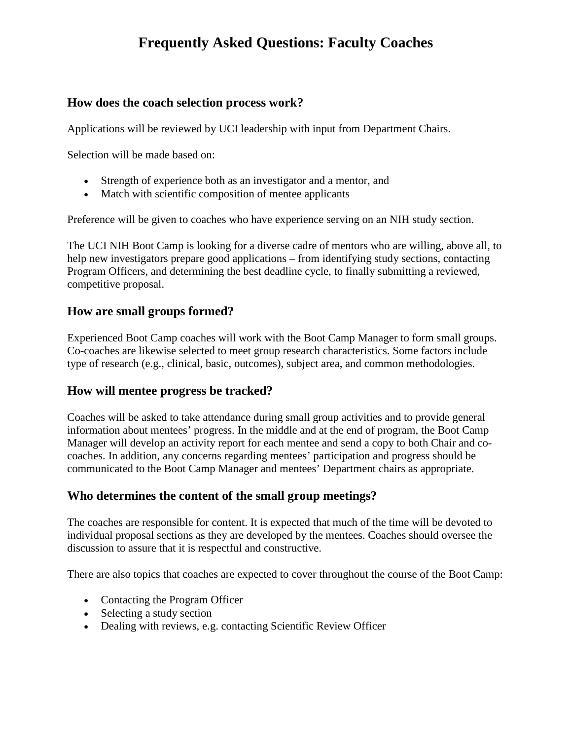## **How does the coach selection process work?**

Applications will be reviewed by UCI leadership with input from Department Chairs.

Selection will be made based on:

- Strength of experience both as an investigator and a mentor, and
- Match with scientific composition of mentee applicants

Preference will be given to coaches who have experience serving on an NIH study section.

The UCI NIH Boot Camp is looking for a diverse cadre of mentors who are willing, above all, to help new investigators prepare good applications – from identifying study sections, contacting Program Officers, and determining the best deadline cycle, to finally submitting a reviewed, competitive proposal.

## **How are small groups formed?**

Experienced Boot Camp coaches will work with the Boot Camp Manager to form small groups. Co-coaches are likewise selected to meet group research characteristics. Some factors include type of research (e.g., clinical, basic, outcomes), subject area, and common methodologies.

## **How will mentee progress be tracked?**

Coaches will be asked to take attendance during small group activities and to provide general information about mentees' progress. In the middle and at the end of program, the Boot Camp Manager will develop an activity report for each mentee and send a copy to both Chair and cocoaches. In addition, any concerns regarding mentees' participation and progress should be communicated to the Boot Camp Manager and mentees' Department chairs as appropriate.

## **Who determines the content of the small group meetings?**

The coaches are responsible for content. It is expected that much of the time will be devoted to individual proposal sections as they are developed by the mentees. Coaches should oversee the discussion to assure that it is respectful and constructive.

There are also topics that coaches are expected to cover throughout the course of the Boot Camp:

- Contacting the Program Officer
- Selecting a study section
- Dealing with reviews, e.g. contacting Scientific Review Officer